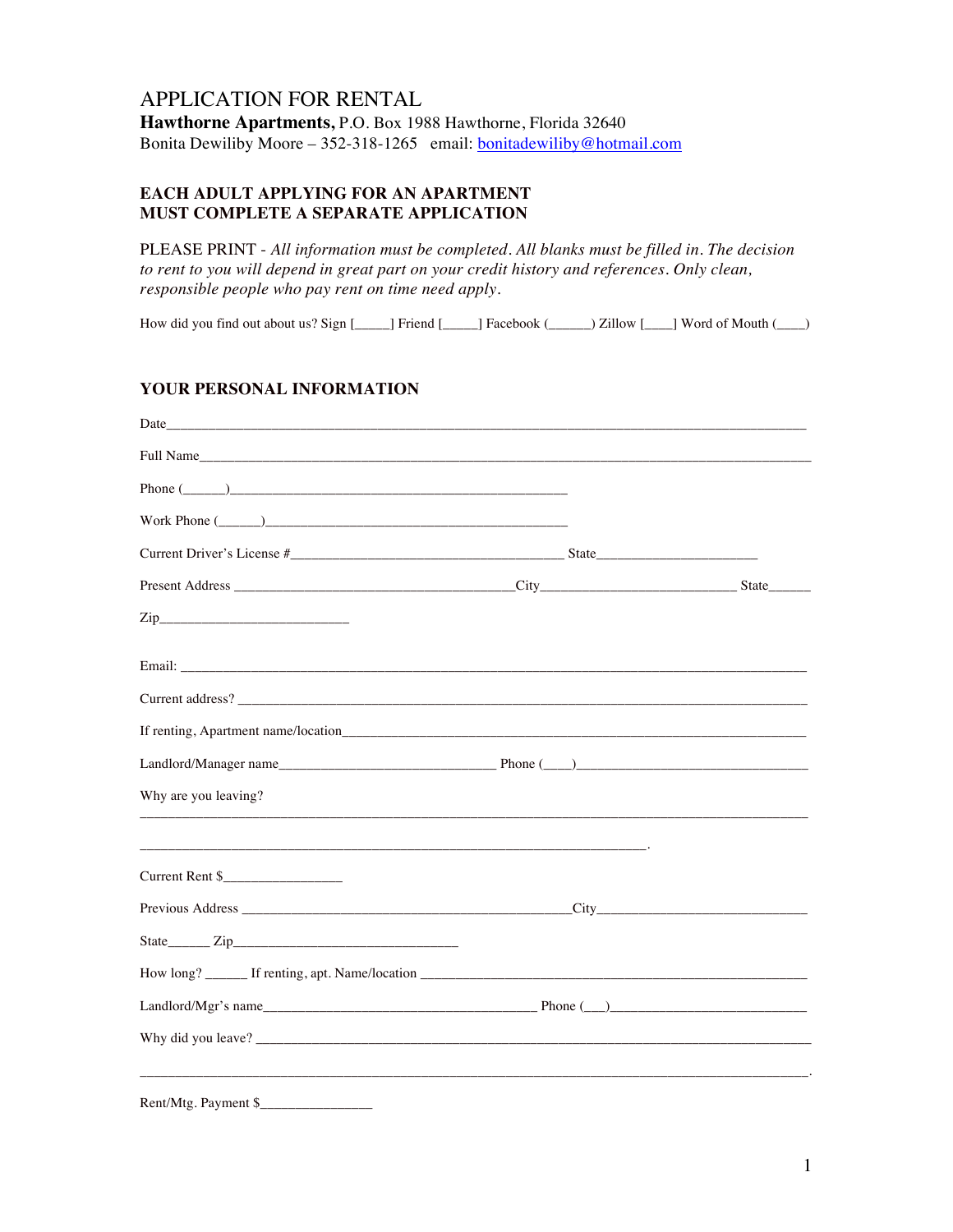## APPLICATION FOR RENTAL **Hawthorne Apartments,** P.O. Box 1988 Hawthorne, Florida 32640 Bonita Dewiliby Moore - 352-318-1265 email: bonitadewiliby@hotmail.com

#### **EACH ADULT APPLYING FOR AN APARTMENT MUST COMPLETE A SEPARATE APPLICATION**

PLEASE PRINT - *All information must be completed. All blanks must be filled in. The decision to rent to you will depend in great part on your credit history and references. Only clean, responsible people who pay rent on time need apply.*

How did you find out about us? Sign [\_\_\_\_\_] Friend [\_\_\_\_\_] Facebook (\_\_\_\_\_\_) Zillow [\_\_\_\_] Word of Mouth (\_\_\_\_)

#### **YOUR PERSONAL INFORMATION**

| Phone $(\_\_)$       |  |
|----------------------|--|
| Work Phone $(\_\_)$  |  |
|                      |  |
|                      |  |
| $\mathsf{Zip}\_$     |  |
|                      |  |
|                      |  |
|                      |  |
|                      |  |
| Why are you leaving? |  |
| Current Rent \$      |  |
|                      |  |
|                      |  |
|                      |  |
|                      |  |
|                      |  |
| Rent/Mtg. Payment \$ |  |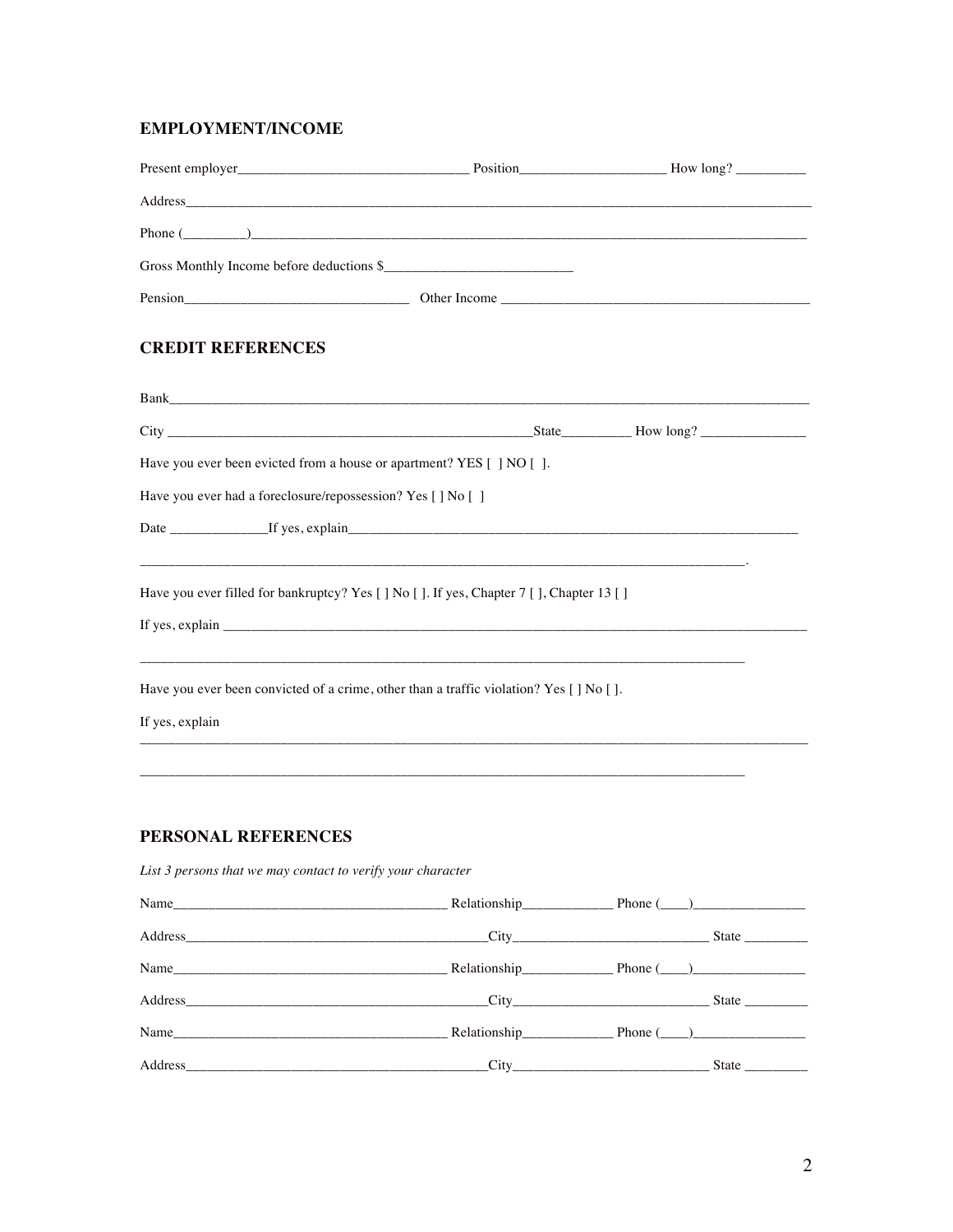#### **EMPLOYMENT/INCOME**

|                                                                       | Gross Monthly Income before deductions \$                                              |  |
|-----------------------------------------------------------------------|----------------------------------------------------------------------------------------|--|
|                                                                       |                                                                                        |  |
| <b>CREDIT REFERENCES</b>                                              |                                                                                        |  |
|                                                                       |                                                                                        |  |
|                                                                       |                                                                                        |  |
| Have you ever been evicted from a house or apartment? YES [ ] NO [ ]. |                                                                                        |  |
| Have you ever had a foreclosure/repossession? Yes [ ] No [ ]          |                                                                                        |  |
|                                                                       |                                                                                        |  |
|                                                                       | Have you ever filled for bankruptcy? Yes [] No []. If yes, Chapter 7 [], Chapter 13 [] |  |
|                                                                       | Have you ever been convicted of a crime, other than a traffic violation? Yes [] No []. |  |
| If yes, explain                                                       |                                                                                        |  |
|                                                                       |                                                                                        |  |
| PERSONAL REFERENCES                                                   |                                                                                        |  |
| List 3 persons that we may contact to verify your character           |                                                                                        |  |
|                                                                       |                                                                                        |  |
|                                                                       |                                                                                        |  |
| Name                                                                  |                                                                                        |  |

 $\overline{2}$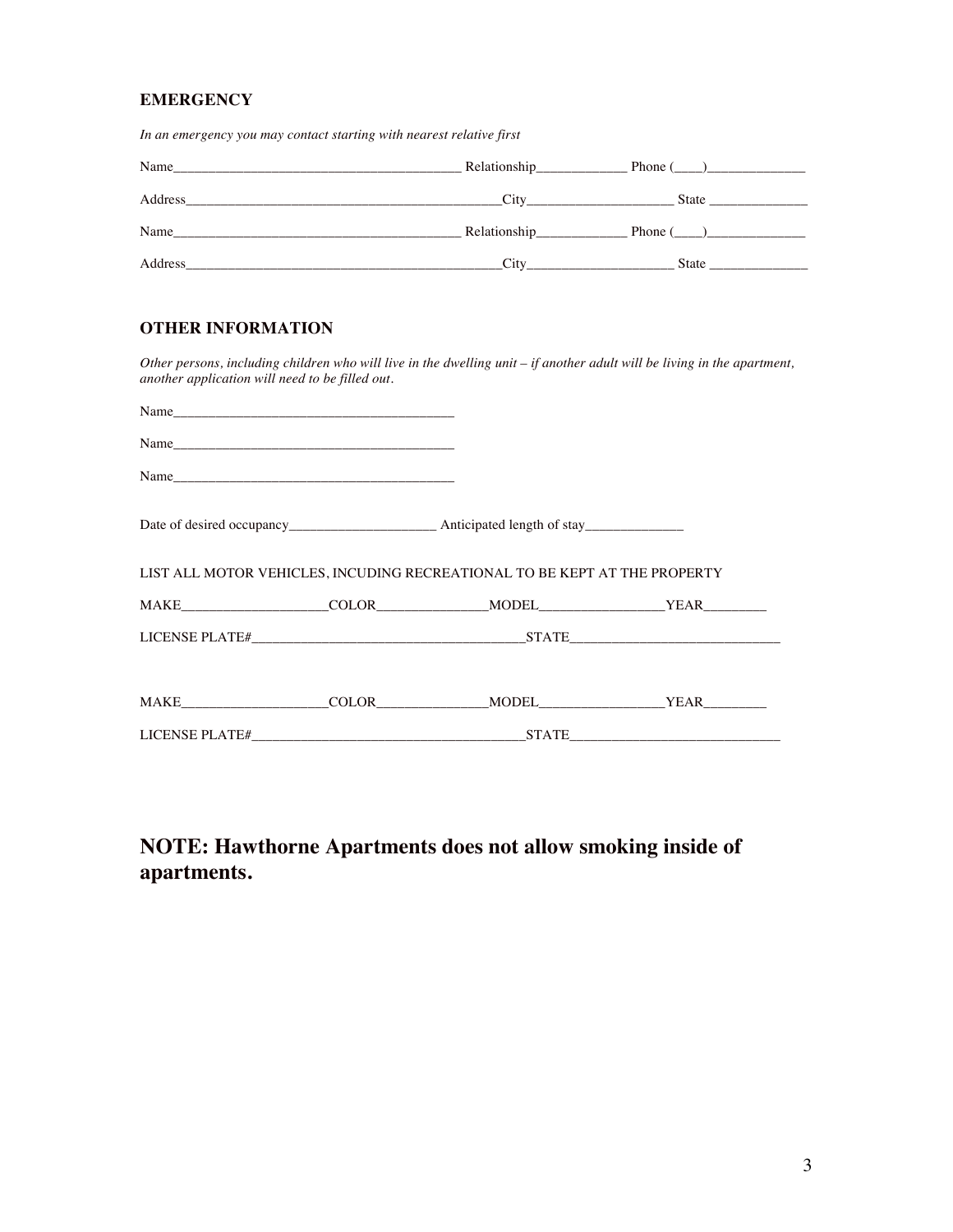#### **EMERGENCY**

*In an emergency you may contact starting with nearest relative first*

| Name    | <b>Relationship</b>      | Phone (<br><u>Contract and Communications</u> |  |
|---------|--------------------------|-----------------------------------------------|--|
| Address | City                     | State                                         |  |
| Name    | Relationship____________ | Phone (                                       |  |
| Address | City                     | State                                         |  |

#### **OTHER INFORMATION**

*Other persons, including children who will live in the dwelling unit – if another adult will be living in the apartment, another application will need to be filled out.*

| Name                                                                      |  |                            |  |  |  |  |
|---------------------------------------------------------------------------|--|----------------------------|--|--|--|--|
|                                                                           |  |                            |  |  |  |  |
|                                                                           |  |                            |  |  |  |  |
|                                                                           |  |                            |  |  |  |  |
| LIST ALL MOTOR VEHICLES, INCUDING RECREATIONAL TO BE KEPT AT THE PROPERTY |  |                            |  |  |  |  |
|                                                                           |  |                            |  |  |  |  |
|                                                                           |  |                            |  |  |  |  |
|                                                                           |  |                            |  |  |  |  |
|                                                                           |  | MAKE COLOR MODEL YEAR TEAM |  |  |  |  |
|                                                                           |  | LICENSE PLATE# STATE STATE |  |  |  |  |

# **NOTE: Hawthorne Apartments does not allow smoking inside of apartments.**